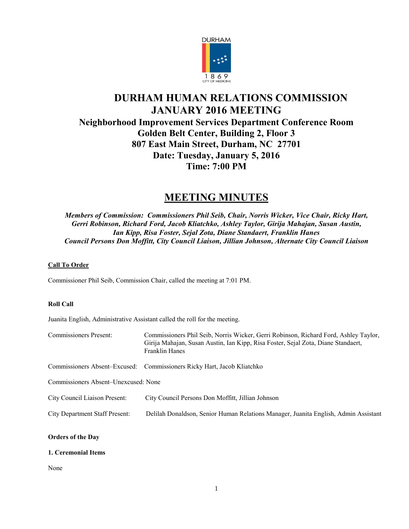

# **DURHAM HUMAN RELATIONS COMMISSION JANUARY 2016 MEETING Neighborhood Improvement Services Department Conference Room Golden Belt Center, Building 2, Floor 3 807 East Main Street, Durham, NC 27701 Date: Tuesday, January 5, 2016 Time: 7:00 PM**

# **MEETING MINUTES**

*Members of Commission: Commissioners Phil Seib, Chair, Norris Wicker, Vice Chair, Ricky Hart, Gerri Robinson, Richard Ford, Jacob Kliatchko, Ashley Taylor, Girija Mahajan, Susan Austin, Ian Kipp, Risa Foster, Sejal Zota, Diane Standaert, Franklin Hanes Council Persons Don Moffitt, City Council Liaison, Jillian Johnson, Alternate City Council Liaison*

# **Call To Order**

Commissioner Phil Seib, Commission Chair, called the meeting at 7:01 PM.

# **Roll Call**

Juanita English, Administrative Assistant called the roll for the meeting.

| <b>Commissioners Present:</b>         | Commissioners Phil Seib, Norris Wicker, Gerri Robinson, Richard Ford, Ashley Taylor,<br>Girija Mahajan, Susan Austin, Ian Kipp, Risa Foster, Sejal Zota, Diane Standaert,<br><b>Franklin Hanes</b> |
|---------------------------------------|----------------------------------------------------------------------------------------------------------------------------------------------------------------------------------------------------|
|                                       | Commissioners Absent–Excused: Commissioners Ricky Hart, Jacob Kliatchko                                                                                                                            |
| Commissioners Absent–Unexcused: None  |                                                                                                                                                                                                    |
| City Council Liaison Present:         | City Council Persons Don Moffitt, Jillian Johnson                                                                                                                                                  |
| <b>City Department Staff Present:</b> | Delilah Donaldson, Senior Human Relations Manager, Juanita English, Admin Assistant                                                                                                                |

# **Orders of the Day**

# **1. Ceremonial Items**

None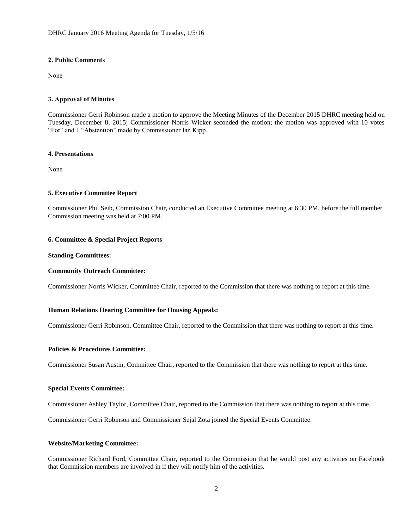# **2. Public Comments**

None

# **3. Approval of Minutes**

Commissioner Gerri Robinson made a motion to approve the Meeting Minutes of the December 2015 DHRC meeting held on Tuesday, December 8, 2015; Commissioner Norris Wicker seconded the motion; the motion was approved with 10 votes "For" and 1 "Abstention" made by Commissioner Ian Kipp.

## **4. Presentations**

None

# **5. Executive Committee Report**

Commissioner Phil Seib, Commission Chair, conducted an Executive Committee meeting at 6:30 PM, before the full member Commission meeting was held at 7:00 PM.

## **6. Committee & Special Project Reports**

# **Standing Committees:**

#### **Community Outreach Committee:**

Commissioner Norris Wicker, Committee Chair, reported to the Commission that there was nothing to report at this time.

## **Human Relations Hearing Committee for Housing Appeals:**

Commissioner Gerri Robinson, Committee Chair, reported to the Commission that there was nothing to report at this time.

# **Policies & Procedures Committee:**

Commissioner Susan Austin, Committee Chair, reported to the Commission that there was nothing to report at this time.

# **Special Events Committee:**

Commissioner Ashley Taylor, Committee Chair, reported to the Commission that there was nothing to report at this time.

Commissioner Gerri Robinson and Commissioner Sejal Zota joined the Special Events Committee.

#### **Website/Marketing Committee:**

Commissioner Richard Ford, Committee Chair, reported to the Commission that he would post any activities on Facebook that Commission members are involved in if they will notify him of the activities.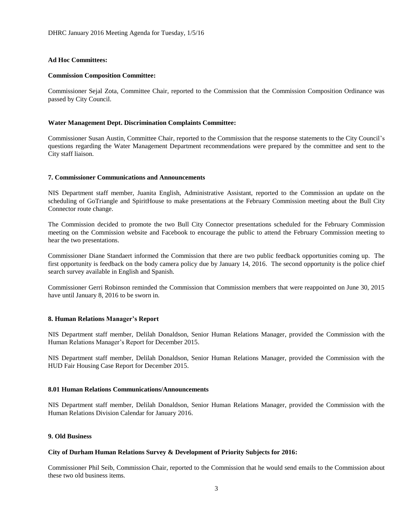# **Ad Hoc Committees:**

#### **Commission Composition Committee:**

Commissioner Sejal Zota, Committee Chair, reported to the Commission that the Commission Composition Ordinance was passed by City Council.

#### **Water Management Dept. Discrimination Complaints Committee:**

Commissioner Susan Austin, Committee Chair, reported to the Commission that the response statements to the City Council's questions regarding the Water Management Department recommendations were prepared by the committee and sent to the City staff liaison.

## **7. Commissioner Communications and Announcements**

NIS Department staff member, Juanita English, Administrative Assistant, reported to the Commission an update on the scheduling of GoTriangle and SpiritHouse to make presentations at the February Commission meeting about the Bull City Connector route change.

The Commission decided to promote the two Bull City Connector presentations scheduled for the February Commission meeting on the Commission website and Facebook to encourage the public to attend the February Commission meeting to hear the two presentations.

Commissioner Diane Standaert informed the Commission that there are two public feedback opportunities coming up. The first opportunity is feedback on the body camera policy due by January 14, 2016. The second opportunity is the police chief search survey available in English and Spanish.

Commissioner Gerri Robinson reminded the Commission that Commission members that were reappointed on June 30, 2015 have until January 8, 2016 to be sworn in.

#### **8. Human Relations Manager's Report**

NIS Department staff member, Delilah Donaldson, Senior Human Relations Manager, provided the Commission with the Human Relations Manager's Report for December 2015.

NIS Department staff member, Delilah Donaldson, Senior Human Relations Manager, provided the Commission with the HUD Fair Housing Case Report for December 2015.

#### **8.01 Human Relations Communications/Announcements**

NIS Department staff member, Delilah Donaldson, Senior Human Relations Manager, provided the Commission with the Human Relations Division Calendar for January 2016.

# **9. Old Business**

# **City of Durham Human Relations Survey & Development of Priority Subjects for 2016:**

Commissioner Phil Seib, Commission Chair, reported to the Commission that he would send emails to the Commission about these two old business items.